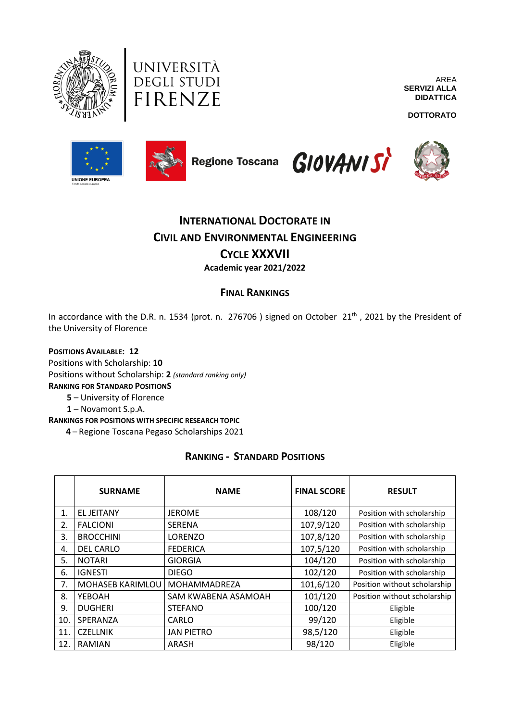



AREA **SERVIZI ALLA DIDATTICA**

**DOTTORATO**









# **INTERNATIONAL DOCTORATE IN CIVIL AND ENVIRONMENTAL ENGINEERING CYCLE XXXVII**

**Academic year 2021/2022**

### **FINAL RANKINGS**

In accordance with the D.R. n. 1534 (prot. n. 276706) signed on October 21<sup>th</sup>, 2021 by the President of the University of Florence

#### **POSITIONS AVAILABLE: 12**

Positions with Scholarship: **10** Positions without Scholarship: **2** *(standard ranking only)* **RANKING FOR STANDARD POSITIONS 5** – University of Florence

**1** – Novamont S.p.A.

**RANKINGS FOR POSITIONS WITH SPECIFIC RESEARCH TOPIC**

 **4** – Regione Toscana Pegaso Scholarships 2021

#### **RANKING - STANDARD POSITIONS**

|     | <b>SURNAME</b>          | <b>NAME</b>         | <b>FINAL SCORE</b> | <b>RESULT</b>                |
|-----|-------------------------|---------------------|--------------------|------------------------------|
| 1.  | <b>EL JEITANY</b>       | <b>JEROME</b>       | 108/120            | Position with scholarship    |
| 2.  | <b>FALCIONI</b>         | <b>SERENA</b>       | 107,9/120          | Position with scholarship    |
| 3.  | <b>BROCCHINI</b>        | <b>LORENZO</b>      | 107,8/120          | Position with scholarship    |
| 4.  | <b>DEL CARLO</b>        | <b>FEDERICA</b>     | 107,5/120          | Position with scholarship    |
| 5.  | <b>NOTARI</b>           | <b>GIORGIA</b>      | 104/120            | Position with scholarship    |
| 6.  | <b>IGNESTI</b>          | <b>DIEGO</b>        | 102/120            | Position with scholarship    |
| 7.  | <b>MOHASEB KARIMLOU</b> | MOHAMMADREZA        | 101,6/120          | Position without scholarship |
| 8.  | YEBOAH                  | SAM KWABENA ASAMOAH | 101/120            | Position without scholarship |
| 9.  | <b>DUGHERI</b>          | <b>STEFANO</b>      | 100/120            | Eligible                     |
| 10. | SPERANZA                | CARLO               | 99/120             | Eligible                     |
| 11. | <b>CZELLNIK</b>         | <b>JAN PIETRO</b>   | 98,5/120           | Eligible                     |
| 12. | RAMIAN                  | ARASH               | 98/120             | Eligible                     |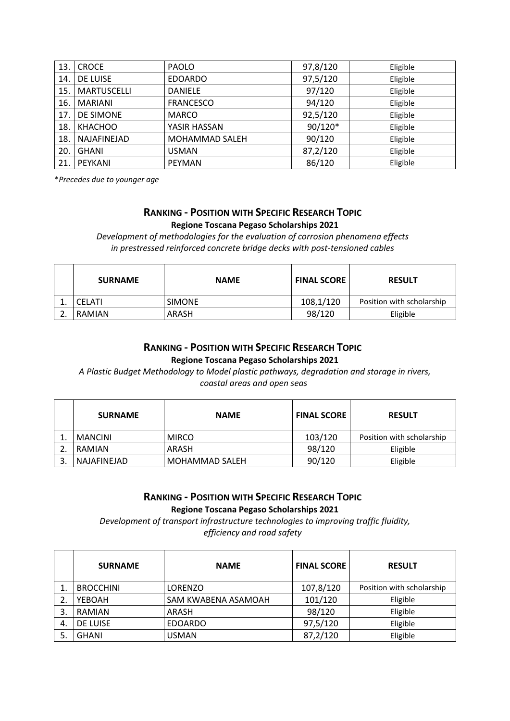| 13. | <b>CROCE</b>       | <b>PAOLO</b>     | 97,8/120 | Eligible |
|-----|--------------------|------------------|----------|----------|
| 14. | DE LUISE           | <b>EDOARDO</b>   | 97,5/120 | Eligible |
| 15. | <b>MARTUSCELLI</b> | <b>DANIELE</b>   | 97/120   | Eligible |
| 16. | <b>MARIANI</b>     | <b>FRANCESCO</b> | 94/120   | Eligible |
| 17. | DE SIMONE          | <b>MARCO</b>     | 92,5/120 | Eligible |
| 18. | <b>KHACHOO</b>     | YASIR HASSAN     | 90/120*  | Eligible |
| 18. | NAJAFINEJAD        | MOHAMMAD SALEH   | 90/120   | Eligible |
| 20. | GHANI              | <b>USMAN</b>     | 87,2/120 | Eligible |
| 21. | PEYKANI            | PEYMAN           | 86/120   | Eligible |

\**Precedes due to younger age*

#### **RANKING - POSITION WITH SPECIFIC RESEARCH TOPIC Regione Toscana Pegaso Scholarships 2021**

*Development of methodologies for the evaluation of corrosion phenomena effects in prestressed reinforced concrete bridge decks with post-tensioned cables*

| <b>SURNAME</b> | <b>NAME</b>   | <b>FINAL SCORE</b> | <b>RESULT</b>             |
|----------------|---------------|--------------------|---------------------------|
| <b>CELATI</b>  | <b>SIMONE</b> | 108,1/120          | Position with scholarship |
| RAMIAN         | ARASH         | 98/120             | Eligible                  |

#### **RANKING - POSITION WITH SPECIFIC RESEARCH TOPIC Regione Toscana Pegaso Scholarships 2021**

*A Plastic Budget Methodology to Model plastic pathways, degradation and storage in rivers, coastal areas and open seas*

| <b>SURNAME</b> | <b>NAME</b>    | <b>FINAL SCORE</b> | <b>RESULT</b>             |
|----------------|----------------|--------------------|---------------------------|
| <b>MANCINI</b> | <b>MIRCO</b>   | 103/120            | Position with scholarship |
| RAMIAN         | ARASH          | 98/120             | Eligible                  |
| NAJAFINEJAD    | MOHAMMAD SALEH | 90/120             | Eligible                  |

#### **RANKING - POSITION WITH SPECIFIC RESEARCH TOPIC Regione Toscana Pegaso Scholarships 2021**

*Development of transport infrastructure technologies to improving traffic fluidity, efficiency and road safety*

|    | <b>SURNAME</b>   | <b>NAME</b>         | <b>FINAL SCORE</b> | <b>RESULT</b>             |
|----|------------------|---------------------|--------------------|---------------------------|
|    | <b>BROCCHINI</b> | <b>LORENZO</b>      | 107,8/120          | Position with scholarship |
|    | YEBOAH           | SAM KWABENA ASAMOAH | 101/120            | Eligible                  |
| 3. | <b>RAMIAN</b>    | ARASH               | 98/120             | Eligible                  |
| 4. | DE LUISE         | <b>EDOARDO</b>      | 97,5/120           | Eligible                  |
|    | <b>GHANI</b>     | <b>USMAN</b>        | 87,2/120           | Eligible                  |